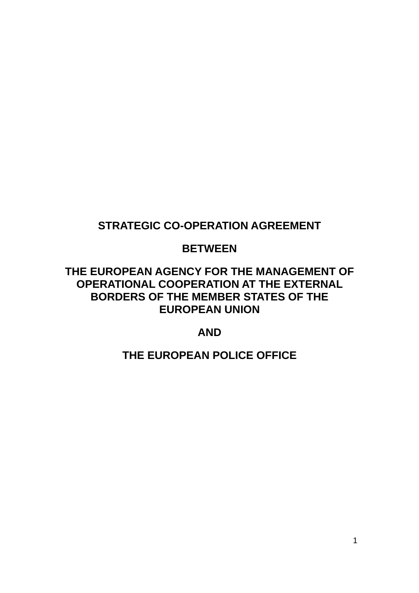# **STRATEGIC CO-OPERATION AGREEMENT**

# **BETWEEN**

# **THE EUROPEAN AGENCY FOR THE MANAGEMENT OF OPERATIONAL COOPERATION AT THE EXTERNAL BORDERS OF THE MEMBER STATES OF THE EUROPEAN UNION**

# **AND**

# **THE EUROPEAN POLICE OFFICE**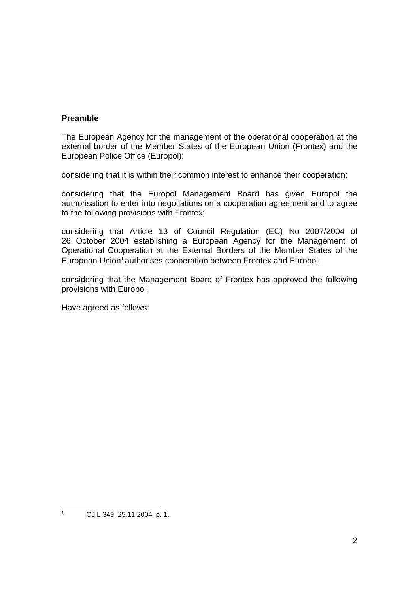# **Preamble**

The European Agency for the management of the operational cooperation at the external border of the Member States of the European Union (Frontex) and the European Police Office (Europol):

considering that it is within their common interest to enhance their cooperation;

considering that the Europol Management Board has given Europol the authorisation to enter into negotiations on a cooperation agreement and to agree to the following provisions with Frontex;

considering that Article 13 of Council Regulation (EC) No 2007/2004 of 26 October 2004 establishing a European Agency for the Management of Operational Cooperation at the External Borders of the Member States of the European Union<sup>1</sup> authorises cooperation between Frontex and Europol;

considering that the Management Board of Frontex has approved the following provisions with Europol;

Have agreed as follows:

-<br>1

OJ L 349, 25.11.2004, p. 1.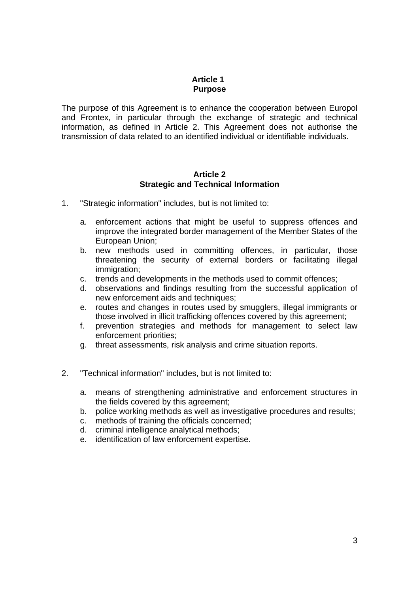# **Article 1 Purpose**

The purpose of this Agreement is to enhance the cooperation between Europol and Frontex, in particular through the exchange of strategic and technical information, as defined in Article 2. This Agreement does not authorise the transmission of data related to an identified individual or identifiable individuals.

#### **Article 2 Strategic and Technical Information**

- 1. "Strategic information" includes, but is not limited to:
	- a. enforcement actions that might be useful to suppress offences and improve the integrated border management of the Member States of the European Union;
	- b. new methods used in committing offences, in particular, those threatening the security of external borders or facilitating illegal immigration:
	- c. trends and developments in the methods used to commit offences;
	- d. observations and findings resulting from the successful application of new enforcement aids and techniques;
	- e. routes and changes in routes used by smugglers, illegal immigrants or those involved in illicit trafficking offences covered by this agreement;
	- f. prevention strategies and methods for management to select law enforcement priorities;
	- g. threat assessments, risk analysis and crime situation reports.
- 2. "Technical information" includes, but is not limited to:
	- a. means of strengthening administrative and enforcement structures in the fields covered by this agreement;
	- b. police working methods as well as investigative procedures and results;
	- c. methods of training the officials concerned;
	- d. criminal intelligence analytical methods;
	- e. identification of law enforcement expertise.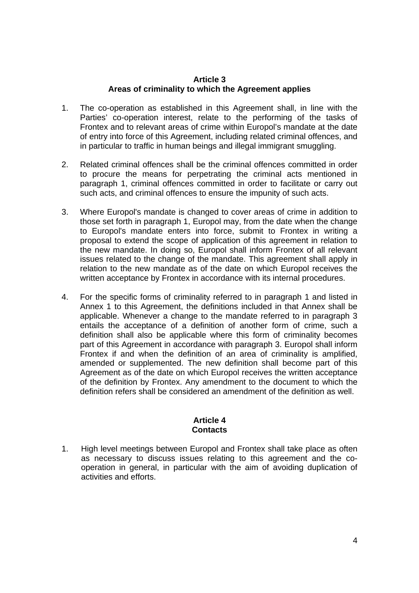### **Article 3 Areas of criminality to which the Agreement applies**

- 1. The co-operation as established in this Agreement shall, in line with the Parties' co-operation interest, relate to the performing of the tasks of Frontex and to relevant areas of crime within Europol's mandate at the date of entry into force of this Agreement, including related criminal offences, and in particular to traffic in human beings and illegal immigrant smuggling.
- 2. Related criminal offences shall be the criminal offences committed in order to procure the means for perpetrating the criminal acts mentioned in paragraph 1, criminal offences committed in order to facilitate or carry out such acts, and criminal offences to ensure the impunity of such acts.
- 3. Where Europol's mandate is changed to cover areas of crime in addition to those set forth in paragraph 1, Europol may, from the date when the change to Europol's mandate enters into force, submit to Frontex in writing a proposal to extend the scope of application of this agreement in relation to the new mandate. In doing so, Europol shall inform Frontex of all relevant issues related to the change of the mandate. This agreement shall apply in relation to the new mandate as of the date on which Europol receives the written acceptance by Frontex in accordance with its internal procedures.
- 4. For the specific forms of criminality referred to in paragraph 1 and listed in Annex 1 to this Agreement, the definitions included in that Annex shall be applicable. Whenever a change to the mandate referred to in paragraph 3 entails the acceptance of a definition of another form of crime, such a definition shall also be applicable where this form of criminality becomes part of this Agreement in accordance with paragraph 3. Europol shall inform Frontex if and when the definition of an area of criminality is amplified, amended or supplemented. The new definition shall become part of this Agreement as of the date on which Europol receives the written acceptance of the definition by Frontex. Any amendment to the document to which the definition refers shall be considered an amendment of the definition as well.

### **Article 4 Contacts**

1. High level meetings between Europol and Frontex shall take place as often as necessary to discuss issues relating to this agreement and the cooperation in general, in particular with the aim of avoiding duplication of activities and efforts.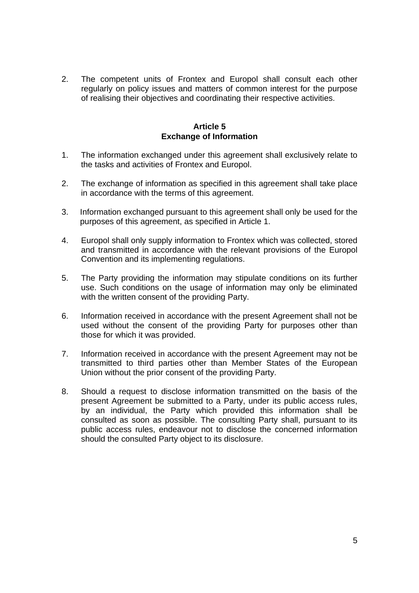2. The competent units of Frontex and Europol shall consult each other regularly on policy issues and matters of common interest for the purpose of realising their objectives and coordinating their respective activities.

#### **Article 5 Exchange of Information**

- 1. The information exchanged under this agreement shall exclusively relate to the tasks and activities of Frontex and Europol.
- 2. The exchange of information as specified in this agreement shall take place in accordance with the terms of this agreement.
- 3. Information exchanged pursuant to this agreement shall only be used for the purposes of this agreement, as specified in Article 1.
- 4. Europol shall only supply information to Frontex which was collected, stored and transmitted in accordance with the relevant provisions of the Europol Convention and its implementing regulations.
- 5. The Party providing the information may stipulate conditions on its further use. Such conditions on the usage of information may only be eliminated with the written consent of the providing Party.
- 6. Information received in accordance with the present Agreement shall not be used without the consent of the providing Party for purposes other than those for which it was provided.
- 7. Information received in accordance with the present Agreement may not be transmitted to third parties other than Member States of the European Union without the prior consent of the providing Party.
- 8. Should a request to disclose information transmitted on the basis of the present Agreement be submitted to a Party, under its public access rules, by an individual, the Party which provided this information shall be consulted as soon as possible. The consulting Party shall, pursuant to its public access rules, endeavour not to disclose the concerned information should the consulted Party object to its disclosure.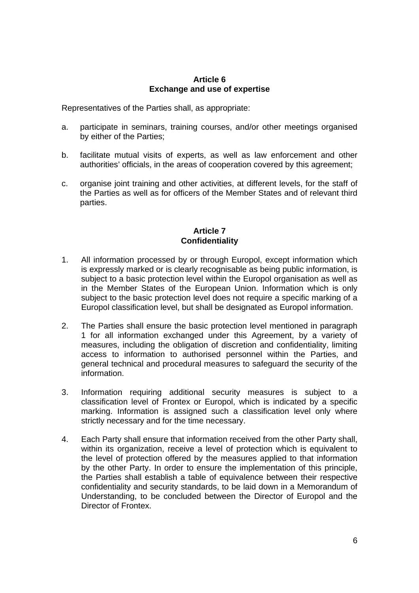#### **Article 6 Exchange and use of expertise**

Representatives of the Parties shall, as appropriate:

- a. participate in seminars, training courses, and/or other meetings organised by either of the Parties;
- b. facilitate mutual visits of experts, as well as law enforcement and other authorities' officials, in the areas of cooperation covered by this agreement;
- c. organise joint training and other activities, at different levels, for the staff of the Parties as well as for officers of the Member States and of relevant third parties.

## **Article 7 Confidentiality**

- 1. All information processed by or through Europol, except information which is expressly marked or is clearly recognisable as being public information, is subject to a basic protection level within the Europol organisation as well as in the Member States of the European Union. Information which is only subject to the basic protection level does not require a specific marking of a Europol classification level, but shall be designated as Europol information.
- 2. The Parties shall ensure the basic protection level mentioned in paragraph 1 for all information exchanged under this Agreement, by a variety of measures, including the obligation of discretion and confidentiality, limiting access to information to authorised personnel within the Parties, and general technical and procedural measures to safeguard the security of the information.
- 3. Information requiring additional security measures is subject to a classification level of Frontex or Europol, which is indicated by a specific marking. Information is assigned such a classification level only where strictly necessary and for the time necessary.
- 4. Each Party shall ensure that information received from the other Party shall, within its organization, receive a level of protection which is equivalent to the level of protection offered by the measures applied to that information by the other Party. In order to ensure the implementation of this principle, the Parties shall establish a table of equivalence between their respective confidentiality and security standards, to be laid down in a Memorandum of Understanding, to be concluded between the Director of Europol and the Director of Frontex.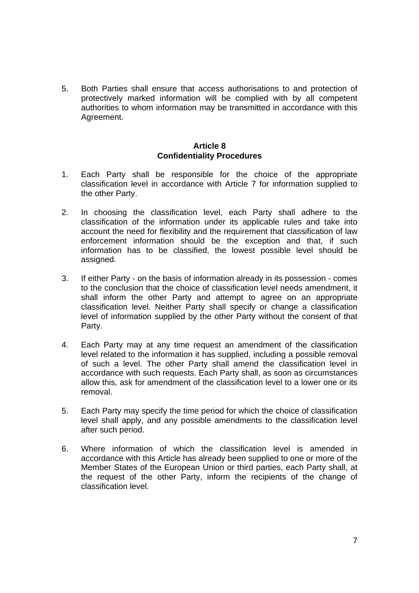5. Both Parties shall ensure that access authorisations to and protection of protectively marked information will be complied with by all competent authorities to whom information may be transmitted in accordance with this Agreement.

#### **Article 8 Confidentiality Procedures**

- 1. Each Party shall be responsible for the choice of the appropriate classification level in accordance with Article 7 for information supplied to the other Party.
- 2. In choosing the classification level, each Party shall adhere to the classification of the information under its applicable rules and take into account the need for flexibility and the requirement that classification of law enforcement information should be the exception and that, if such information has to be classified, the lowest possible level should be assigned.
- 3. If either Party on the basis of information already in its possession comes to the conclusion that the choice of classification level needs amendment, it shall inform the other Party and attempt to agree on an appropriate classification level. Neither Party shall specify or change a classification level of information supplied by the other Party without the consent of that Party.
- 4. Each Party may at any time request an amendment of the classification level related to the information it has supplied, including a possible removal of such a level. The other Party shall amend the classification level in accordance with such requests. Each Party shall, as soon as circumstances allow this, ask for amendment of the classification level to a lower one or its removal.
- 5. Each Party may specify the time period for which the choice of classification level shall apply, and any possible amendments to the classification level after such period.
- 6. Where information of which the classification level is amended in accordance with this Article has already been supplied to one or more of the Member States of the European Union or third parties, each Party shall, at the request of the other Party, inform the recipients of the change of classification level.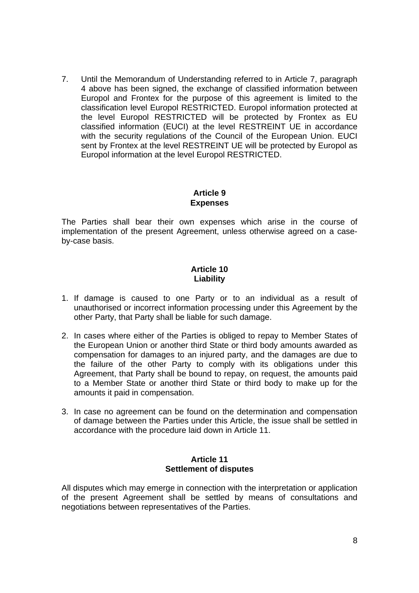7. Until the Memorandum of Understanding referred to in Article 7, paragraph 4 above has been signed, the exchange of classified information between Europol and Frontex for the purpose of this agreement is limited to the classification level Europol RESTRICTED. Europol information protected at the level Europol RESTRICTED will be protected by Frontex as EU classified information (EUCI) at the level RESTREINT UE in accordance with the security regulations of the Council of the European Union. EUCI sent by Frontex at the level RESTREINT UE will be protected by Europol as Europol information at the level Europol RESTRICTED.

# **Article 9 Expenses**

The Parties shall bear their own expenses which arise in the course of implementation of the present Agreement, unless otherwise agreed on a caseby-case basis.

# **Article 10 Liability**

- 1. If damage is caused to one Party or to an individual as a result of unauthorised or incorrect information processing under this Agreement by the other Party, that Party shall be liable for such damage.
- 2. In cases where either of the Parties is obliged to repay to Member States of the European Union or another third State or third body amounts awarded as compensation for damages to an injured party, and the damages are due to the failure of the other Party to comply with its obligations under this Agreement, that Party shall be bound to repay, on request, the amounts paid to a Member State or another third State or third body to make up for the amounts it paid in compensation.
- 3. In case no agreement can be found on the determination and compensation of damage between the Parties under this Article, the issue shall be settled in accordance with the procedure laid down in Article 11.

# **Article 11 Settlement of disputes**

All disputes which may emerge in connection with the interpretation or application of the present Agreement shall be settled by means of consultations and negotiations between representatives of the Parties.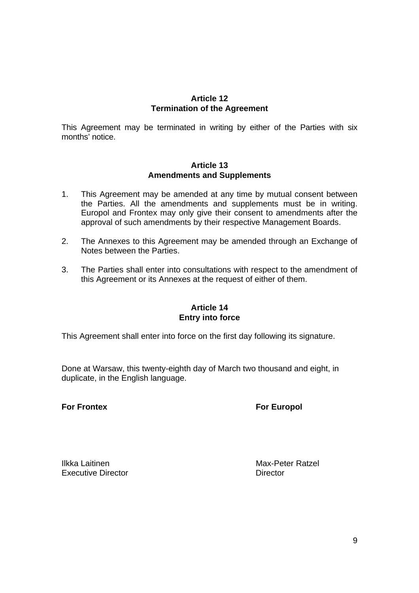# **Article 12 Termination of the Agreement**

This Agreement may be terminated in writing by either of the Parties with six months' notice.

#### **Article 13 Amendments and Supplements**

- 1. This Agreement may be amended at any time by mutual consent between the Parties. All the amendments and supplements must be in writing. Europol and Frontex may only give their consent to amendments after the approval of such amendments by their respective Management Boards.
- 2. The Annexes to this Agreement may be amended through an Exchange of Notes between the Parties.
- 3. The Parties shall enter into consultations with respect to the amendment of this Agreement or its Annexes at the request of either of them.

# **Article 14 Entry into force**

This Agreement shall enter into force on the first day following its signature.

Done at Warsaw, this twenty-eighth day of March two thousand and eight, in duplicate, in the English language.

# **For Frontex For Europol**

Ilkka Laitinen Max-Peter Ratzel Executive Director **Director** Director